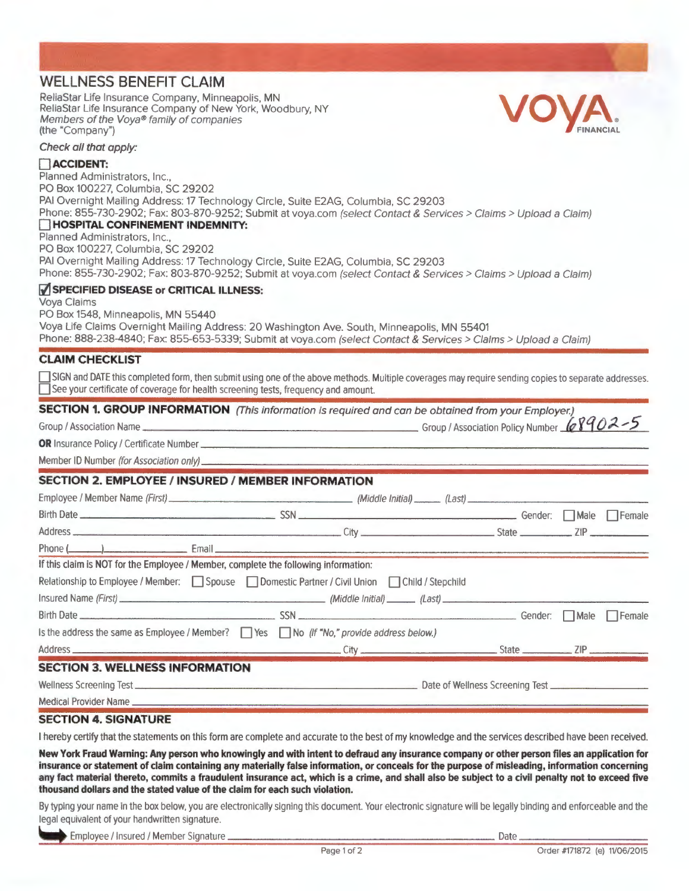# **WELLNESS BENEFIT CLAIM**

ReliaStar Life Insurance Company, Minneapolis, MN ReliaStar Life Insurance Company, will lieapons, wive<br>ReliaStar Life Insurance Company of New York, Woodbury, NY<br>(the "Company") **V** FINANCIAL Members of the Voya® family of companies<br>(the "Company")



Check all that apply:

### **0ACCIDENT:**

Planned Administrators, Inc., PO Box 100227, Columbia, SC 29202 PAI Overnight Mailing Address: 17 Technology Circle, Suite E2AG, Columbia, SC 29203 Phone: 855-730-2902; Fax: 803-870-9252; Submit at voya.com (select Contact & Services > Claims > Upload a Claim) **HOSPITAL CONFINEMENT INDEMNITY:** Planned Administrators, Inc., PO Box 100227, Columbia, SC 29202 PAI Overnight Mailing Address: 17 Technology Circle, Suite E2AG, Columbia, SC 29203 Phone: 855-730-2902; Fax: 803-870-9252; Submit at voya.com (select Contact & Services > Claims > Upload a Claim) *V* **SPECIFIED DISEASE or CRITICAL ILLNESS:** Voya Claims PO Box 1548, Minneapolis, MN 55440 Voya Life Claims Overnight Mailing Address: 20 Washington Ave. South, Minneapolis, MN 55401

Phone: 888-238-4840; Fax: 855-653-5339; Submit at voya.com (select Contact & Services > Claims > Upload a Claim)

## **CLAIM CHECKLIST**

SIGN and DATE this completed form, then submit using one of the above methods. Multiple coverages may require sending copies to separate addresses. See your certificate of coverage for health screening tests, frequency and amount.

## **SECTION 1. GROUP INFORMATION** (This information is required and can be obtained from your Employer.)

Group I Association Name Group I Association Policy Number **W** *vq O;).....,., 5*  **OR** Insurance Policy <sup>I</sup>Certificate Number-----------------------------------

Member ID Number (for Association only)

## **SECTION 2. EMPLOYEE / INSURED I MEMBER INFORMATION**

| If this claim is NOT for the Employee / Member, complete the following information:                  |  |  |  |  |  |
|------------------------------------------------------------------------------------------------------|--|--|--|--|--|
| Relationship to Employee / Member: Spouse Domestic Partner / Civil Union Child / Stepchild           |  |  |  |  |  |
|                                                                                                      |  |  |  |  |  |
|                                                                                                      |  |  |  |  |  |
| Is the address the same as Employee / Member? $\Box$ Yes $\Box$ No (If "No," provide address below.) |  |  |  |  |  |
|                                                                                                      |  |  |  |  |  |
| <b>SECTION 3. WELLNESS INFORMATION</b>                                                               |  |  |  |  |  |
|                                                                                                      |  |  |  |  |  |

Medical Provider Name

# **SECTION 4. SIGNATURE**

I hereby certify that the statements on this form are complete and accurate to the best of my knowledge and the services described have been received.

**New York Fraud Warning: Any person who knowingly and with intent to defraud any insurance company or other person files an application for insurance or statement of claim containing any materially false information, or conceals for the purpose of misleading, information concerning any fact material thereto, commits a fraudulent insurance act, which is a crime, and shall also be subject to a civil penalty not to exceed five thousand dollars and the stated value of the claim for each such violation.** 

By typing your name in the box below, you are electronically signing this document. Your electronic signature will be legally binding and enforceable and the legal equivalent of your handwritten signature.

Employee I Insured I Member Signature Date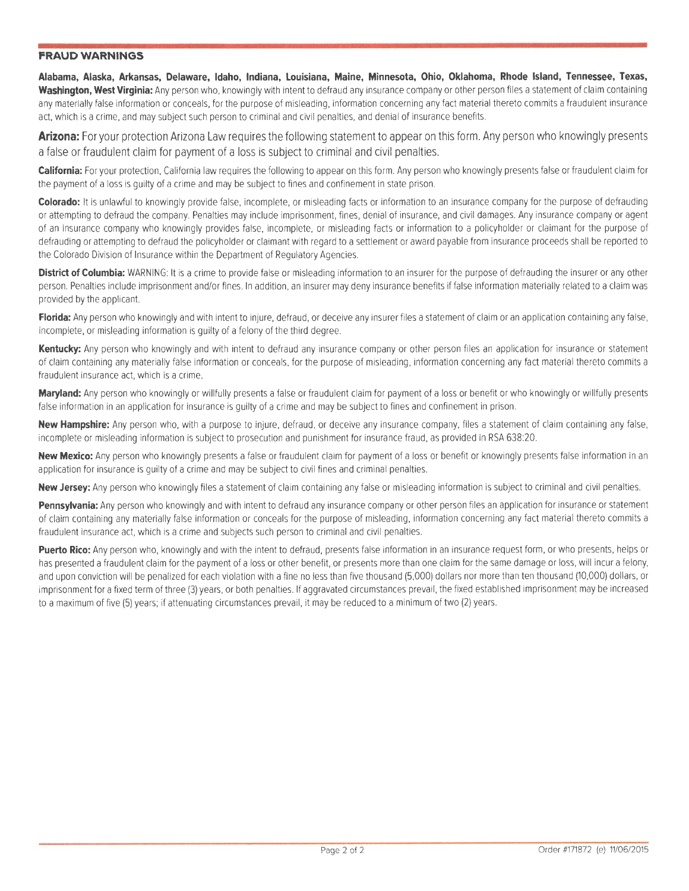## **FRAUD WARNINGS**

**Alabama, Alaska, Arkansas, Delaware, Idaho, Indiana, Louisiana, Maine, Minnesota, Ohio, Oklahoma, Rhode Island, Tennessee, Texas, Washington, West Virginia:** Any person who, knowingly with intent to defraud any insurance company or other person files a statement of claim containing any materially false information or conceals, for the purpose of misleading, information concerning any fact material thereto commits a fraudulent insurance act, which is a crime. and may subject such person to criminal and civil penalties, and denial of insurance benefits.

**Arizona:** For your protection Arizona Law requires the following statement to appear on this form. Any person who knowingly presents a false or fraudulent claim for payment of a loss is subject to criminal and civil penalties.

**California:** For your protection, California law requires the following to appear on this form. Any person who knowingly presents false or fraudulent claim for the payment of a loss is guilty of a crime and may be subject to fines and confinement in state prison.

**Colorado:** It is unlawful to knowingly provide false, incomplete, or misleading facts or information to an insurance company for the purpose of defrauding or attempting to defraud the company. Penalties may include imprisonment, fines, denial of insurance, and civil damages. Any insurance company or agent of an insurance company who knowingly provides false, incomplete, or misleading facts or information to a policyholder or claimant for the purpose of defrauding or attempting to defraud the policyholder or claimant with regard to a settlement or award payable from insurance proceeds shall be reported to the Colorado Division of Insurance within the Department of Regulatory Agencies.

**District of Columbia:** WARNING: It is a crime to provide false or misleading information to an insurer for the purpose of defrauding the insurer or any other person. Penalties include imprisonment and/or fines . In addition, an insurer may deny insurance benefits iffalse information materially related to a claim was provided by the applicant.

Florida: Any person who knowingly and with intent to injure, defraud, or deceive any insurer files a statement of claim or an application containing any false, incomplete, or misleading information is guilty of a felony of the third degree.

Kentucky: Any person who knowingly and with intent to defraud any insurance company or other person files an application for insurance or statement of claim containing any materially false information or conceals, for the purpose of misleading, information concerning any fact material thereto commits a fraudulent insurance act, which is a crime.

**Maryland:** Any person who knowingly or willfully presents a false or fraudulent claim for payment of a loss or benefit or who knowingly or willfully presents false information in an application for insurance is guilty of a crime and may be subject to fines and confinement in prison.

**New Hampshire:** Any person who, with a purpose to injure, defraud, or deceive any insurance company, files a statement of claim containing any false, incomplete or misleading information is subject to prosecution and punishment for insurance fraud. as provided in RSA 638:20.

New Mexico: Any person who knowingly presents a false or fraudulent claim for payment of a loss or benefit or knowingly presents false information in an application for insurance is guilty of a crime and may be subject to civil fines and criminal penalties.

**New Jersey:** Any person who knowingly files a statement of claim containing any false or misleading information is subject to criminal and civil penalties.

Pennsylvania: Any person who knowingly and with intent to defraud any insurance company or other person files an application for insurance or statement of claim containing any materially false information or conceals for the purpose of misleading, information concerning any fact material thereto commits a fraudulent insurance act. which is a crime and subjects such person to criminal and civil penalties.

Puerto Rico: Any person who, knowingly and with the intent to defraud, presents false information in an insurance request form, or who presents, helps or has presented a fraudulent claim for the payment of a loss or other benefit, or presents more than one claim for the same damage or loss, will incur a felony, and upon conviction will be penalized for each violation with a fine no less than five thousand (5,000) dollars nor more than ten thousand (10,000) dollars, or imprisonment for a fixed term of three (3) years, or both penalties. If aggravated circumstances prevail, the fixed established imprisonment may be increased to a maximum of five (5) years; if attenuating circumstances prevail, it may be reduced to a minimum of two (2) years.